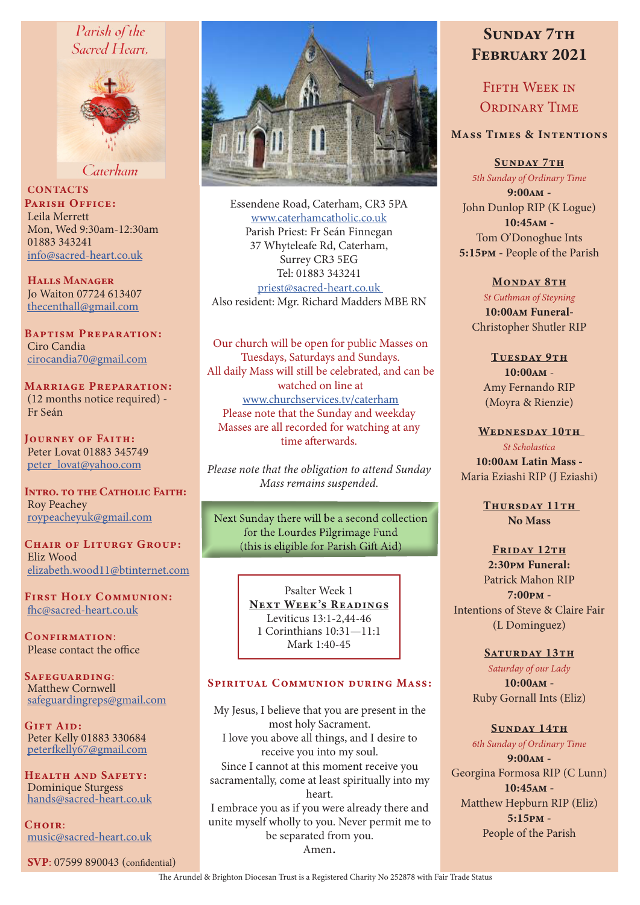# Parish of the Sacred Heart.



Caterham

**CONTACTS** PARISH OFFICE: Leila Merrett Mon, Wed 9:30am-12:30am 01883 343241 info@sacred-heart.co.uk

Halls Manager Jo Waiton 07724 613407 thecenthall@gmail.com

Baptism Preparation: Ciro Candia cirocandia70@gmail.com

Marriage Preparation: (12 months notice required) - Fr Seán

Journey of Faith: Peter Lovat 01883 345749 peter\_lovat@yahoo.com

INTRO. TO THE CATHOLIC FAITH: Roy Peachey roypeacheyuk@gmail.com

CHAIR OF LITURGY GROUP: Eliz Wood elizabeth.wood11@btinternet.com

First Holy Communion: fhc@sacred-heart.co.uk

CONFIRMATION: Please contact the office

SAFEGUARDING: Matthew Cornwell safeguardingreps@gmail.com

Gift Aid: Peter Kelly 01883 330684 peterfkelly67@gmail.com

Health and Safety: Dominique Sturgess hands@sacred-heart.co.uk

 $C$ HOIR $\cdot$ music@sacred-heart.co.uk

SVP: 07599 890043 (confidential)



Essendene Road, Caterham, CR3 5PA www.caterhamcatholic.co.uk Parish Priest: Fr Seán Finnegan 37 Whyteleafe Rd, Caterham, Surrey CR3 5EG Tel: 01883 343241 priest@sacred-heart.co.uk Also resident: Mgr. Richard Madders MBE RN

Our church will be open for public Masses on Tuesdays, Saturdays and Sundays. All daily Mass will still be celebrated, and can be watched on line at www.churchservices.tv/caterham Please note that the Sunday and weekday Masses are all recorded for watching at any time afterwards.

*Please note that the obligation to attend Sunday Mass remains suspended.*

Next Sunday there will be a second collection for the Lourdes Pilgrimage Fund (this is eligible for Parish Gift Aid)

> Psalter Week 1 NEXT WEEK'S READINGS Leviticus 13:1-2,44-46 1 Corinthians 10:31—11:1 Mark 1:40-45

#### Spiritual Communion during Mass:

My Jesus, I believe that you are present in the most holy Sacrament. I love you above all things, and I desire to receive you into my soul. Since I cannot at this moment receive you sacramentally, come at least spiritually into my heart. I embrace you as if you were already there and unite myself wholly to you. Never permit me to be separated from you. Amen.

# SUNDAY 7TH February 2021

FIFTH WEEK IN ORDINARY TIME

### Mass Times & Intentions

SUNDAY 7TH *5th Sunday of Ordinary Time* 9:00am - John Dunlop RIP (K Logue) 10:45am - Tom O'Donoghue Ints 5:15pm - People of the Parish

MONDAY 8TH *St Cuthman of Steyning* 10:00am Funeral-Christopher Shutler RIP

> TUESDAY 9TH 10:00am - Amy Fernando RIP (Moyra & Rienzie)

WEDNESDAY 10TH *St Scholastica* 10:00am Latin Mass - Maria Eziashi RIP (J Eziashi)

> THURSDAY 11TH No Mass

FRIDAY 12TH 2:30pm Funeral: Patrick Mahon RIP 7:00pm - Intentions of Steve & Claire Fair (L Dominguez)

> SATURDAY 13TH *Saturday of our Lady* 10:00am - Ruby Gornall Ints (Eliz)

> > SUNDAY 14TH

*6th Sunday of Ordinary Time* 9:00am - Georgina Formosa RIP (C Lunn) 10:45am - Matthew Hepburn RIP (Eliz) 5:15pm - People of the Parish

The Arundel & Brighton Diocesan Trust is a Registered Charity No 252878 with Fair Trade Status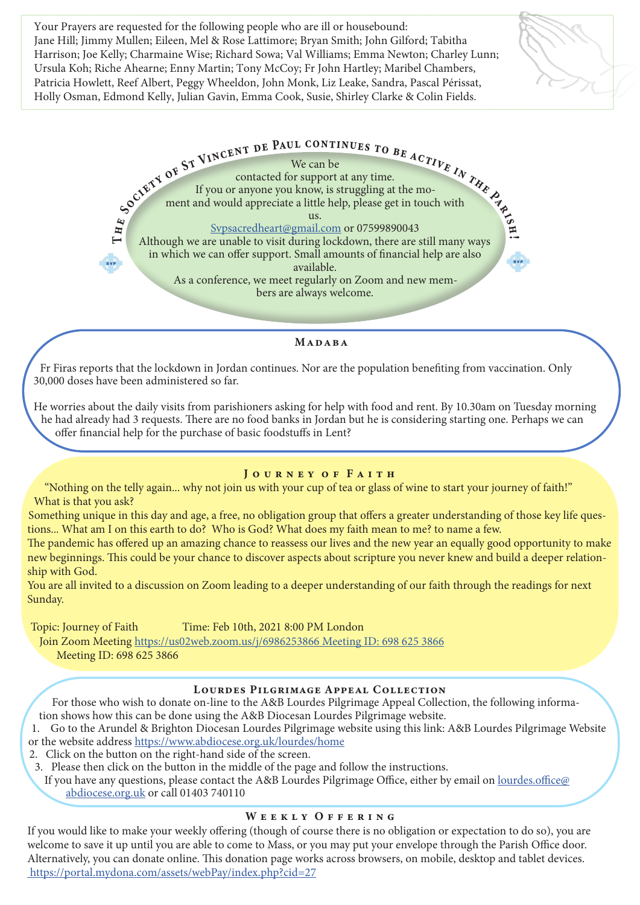Your Prayers are requested for the following people who are ill or housebound: Jane Hill; Jimmy Mullen; Eileen, Mel & Rose Lattimore; Bryan Smith; John Gilford; Tabitha Harrison; Joe Kelly; Charmaine Wise; Richard Sowa; Val Williams; Emma Newton; Charley Lunn; Ursula Koh; Riche Ahearne; Enny Martin; Tony McCoy; Fr John Hartley; Maribel Chambers, Patricia Howlett, Reef Albert, Peggy Wheeldon, John Monk, Liz Leake, Sandra, Pascal Périssat, Holly Osman, Edmond Kelly, Julian Gavin, Emma Cook, Susie, Shirley Clarke & Colin Fields.



Madaba

Fr Firas reports that the lockdown in Jordan continues. Nor are the population benefiting from vaccination. Only 30,000 doses have been administered so far.

He worries about the daily visits from parishioners asking for help with food and rent. By 10.30am on Tuesday morning he had already had 3 requests. There are no food banks in Jordan but he is considering starting one. Perhaps we can offer financial help for the purchase of basic foodstuffs in Lent?

#### JOURNEY OF FAITH

"Nothing on the telly again... why not join us with your cup of tea or glass of wine to start your journey of faith!" What is that you ask?

Something unique in this day and age, a free, no obligation group that offers a greater understanding of those key life questions... What am I on this earth to do? Who is God? What does my faith mean to me? to name a few.

The pandemic has offered up an amazing chance to reassess our lives and the new year an equally good opportunity to make new beginnings. This could be your chance to discover aspects about scripture you never knew and build a deeper relationship with God.

You are all invited to a discussion on Zoom leading to a deeper understanding of our faith through the readings for next Sunday.

Topic: Journey of Faith Time: Feb 10th, 2021 8:00 PM London

Join Zoom Meeting https://us02web.zoom.us/j/6986253866 Meeting ID: 698 625 3866 Meeting ID: 698 625 3866

# Lourdes Pilgrimage Appeal Collection

For those who wish to donate on-line to the A&B Lourdes Pilgrimage Appeal Collection, the following information shows how this can be done using the A&B Diocesan Lourdes Pilgrimage website.

1. Go to the Arundel & Brighton Diocesan Lourdes Pilgrimage website using this link: A&B Lourdes Pilgrimage Website or the website address https://www.abdiocese.org.uk/lourdes/home

2. Click on the button on the right-hand side of the screen.

3. Please then click on the button in the middle of the page and follow the instructions.

If you have any questions, please contact the A&B Lourdes Pilgrimage Office, either by email on lourdes.office@ abdiocese.org.uk or call 01403 740110

# WEEKLY OFFERING

If you would like to make your weekly offering (though of course there is no obligation or expectation to do so), you are welcome to save it up until you are able to come to Mass, or you may put your envelope through the Parish Office door. Alternatively, you can donate online. This donation page works across browsers, on mobile, desktop and tablet devices. https://portal.mydona.com/assets/webPay/index.php?cid=27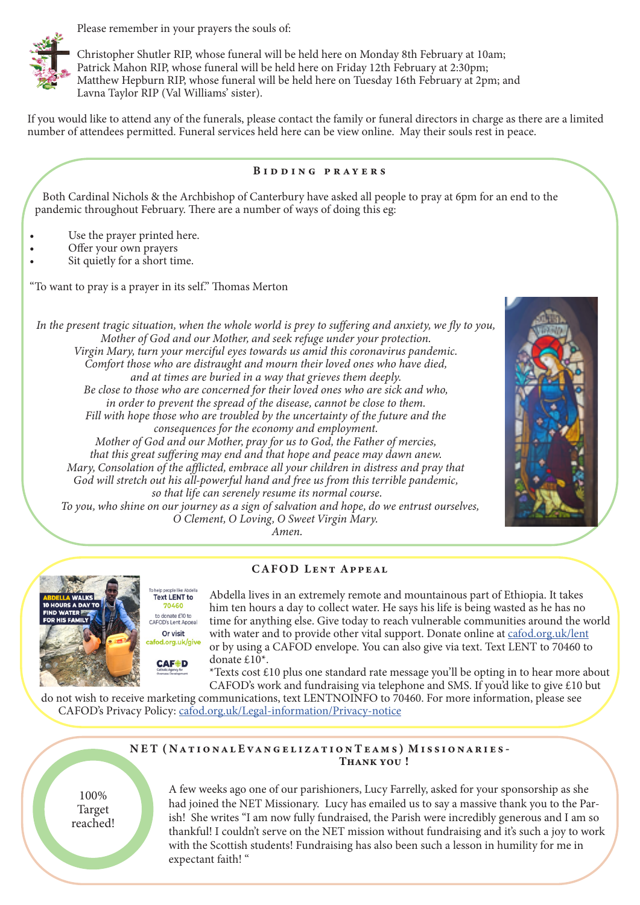Please remember in your prayers the souls of:



Christopher Shutler RIP, whose funeral will be held here on Monday 8th February at 10am; Patrick Mahon RIP, whose funeral will be held here on Friday 12th February at 2:30pm; Matthew Hepburn RIP, whose funeral will be held here on Tuesday 16th February at 2pm; and Lavna Taylor RIP (Val Williams' sister).

If you would like to attend any of the funerals, please contact the family or funeral directors in charge as there are a limited number of attendees permitted. Funeral services held here can be view online. May their souls rest in peace.

#### Bidding prayers

Both Cardinal Nichols & the Archbishop of Canterbury have asked all people to pray at 6pm for an end to the pandemic throughout February. There are a number of ways of doing this eg:

- Use the prayer printed here.
- Offer your own prayers
- Sit quietly for a short time.

"To want to pray is a prayer in its self." Thomas Merton

**Text LENT to** 70460 to donate £10 to<br>FOD's Lent Appeal Or visit

**CAF+D** 

*In the present tragic situation, when the whole world is prey to suffering and anxiety, we fly to you, Mother of God and our Mother, and seek refuge under your protection. Virgin Mary, turn your merciful eyes towards us amid this coronavirus pandemic. Comfort those who are distraught and mourn their loved ones who have died, and at times are buried in a way that grieves them deeply. Be close to those who are concerned for their loved ones who are sick and who, in order to prevent the spread of the disease, cannot be close to them. Fill with hope those who are troubled by the uncertainty of the future and the consequences for the economy and employment. Mother of God and our Mother, pray for us to God, the Father of mercies, that this great suffering may end and that hope and peace may dawn anew. Mary, Consolation of the afflicted, embrace all your children in distress and pray that God will stretch out his all-powerful hand and free us from this terrible pandemic, so that life can serenely resume its normal course. To you, who shine on our journey as a sign of salvation and hope, do we entrust ourselves, O Clement, O Loving, O Sweet Virgin Mary. Amen.*



#### CAFOD Lent Appeal



Abdella lives in an extremely remote and mountainous part of Ethiopia. It takes him ten hours a day to collect water. He says his life is being wasted as he has no time for anything else. Give today to reach vulnerable communities around the world with water and to provide other vital support. Donate online at cafod.org.uk/lent fod.org.uk/give or by using a CAFOD envelope. You can also give via text. Text LENT to 70460 to donate £10\*.

\*Texts cost £10 plus one standard rate message you'll be opting in to hear more about CAFOD's work and fundraising via telephone and SMS. If you'd like to give £10 but

do not wish to receive marketing communications, text LENTNOINFO to 70460. For more information, please see CAFOD's Privacy Policy: cafod.org.uk/Legal-information/Privacy-notice

#### NET (NATIONAL EVANGELIZATION TEAMS) MISSIONARIES-THANK YOU!

100% Target reached! A few weeks ago one of our parishioners, Lucy Farrelly, asked for your sponsorship as she had joined the NET Missionary. Lucy has emailed us to say a massive thank you to the Parish! She writes "I am now fully fundraised, the Parish were incredibly generous and I am so thankful! I couldn't serve on the NET mission without fundraising and it's such a joy to work with the Scottish students! Fundraising has also been such a lesson in humility for me in expectant faith! "